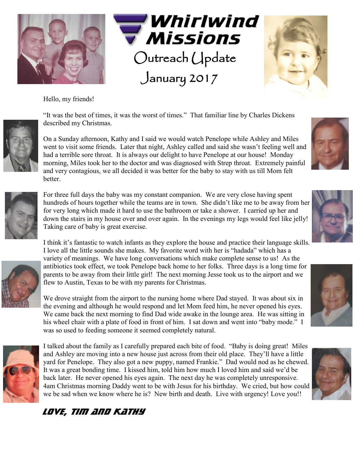





Hello, my friends!



"It was the best of times, it was the worst of times." That familiar line by Charles Dickens described my Christmas.

On a Sunday afternoon, Kathy and I said we would watch Penelope while Ashley and Miles went to visit some friends. Later that night, Ashley called and said she wasn't feeling well and had a terrible sore throat. It is always our delight to have Penelope at our house! Monday morning, Miles took her to the doctor and was diagnosed with Strep throat. Extremely painful and very contagious, we all decided it was better for the baby to stay with us till Mom felt better.



For three full days the baby was my constant companion. We are very close having spent hundreds of hours together while the teams are in town. She didn't like me to be away from her for very long which made it hard to use the bathroom or take a shower. I carried up her and down the stairs in my house over and over again. In the evenings my legs would feel like jelly! Taking care of baby is great exercise.

I think it's fantastic to watch infants as they explore the house and practice their language skills. I love all the little sounds she makes. My favorite word with her is "hadada" which has a variety of meanings. We have long conversations which make complete sense to us! As the antibiotics took effect, we took Penelope back home to her folks. Three days is a long time for parents to be away from their little girl! The next morning Jesse took us to the airport and we flew to Austin, Texas to be with my parents for Christmas.

We drove straight from the airport to the nursing home where Dad stayed. It was about six in the evening and although he would respond and let Mom feed him, he never opened his eyes. We came back the next morning to find Dad wide awake in the lounge area. He was sitting in his wheel chair with a plate of food in front of him. I sat down and went into "baby mode." I was so used to feeding someone it seemed completely natural.



I talked about the family as I carefully prepared each bite of food. "Baby is doing great! Miles and Ashley are moving into a new house just across from their old place. They'll have a little yard for Penelope. They also got a new puppy, named Frankie." Dad would nod as he chewed. It was a great bonding time. I kissed him, told him how much I loved him and said we'd be back later. He never opened his eyes again. The next day he was completely unresponsive. 4am Christmas morning Daddy went to be with Jesus for his birthday. We cried, but how could we be sad when we know where he is? New birth and death. Live with urgency! Love you!!



## *LOVE, Tim and Kathy*